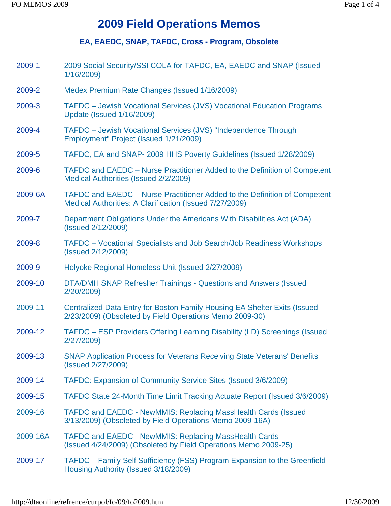# **2009 Field Operations Memos**

## **EA, EAEDC, SNAP, TAFDC, Cross - Program, Obsolete**

2009-1 2009 Social Security/SSI COLA for TAFDC, EA, EAEDC and SNAP (Issued 1/16/2009) 2009-2 Medex Premium Rate Changes (Issued 1/16/2009) 2009-3 TAFDC – Jewish Vocational Services (JVS) Vocational Education Programs Update (Issued 1/16/2009) 2009-4 TAFDC – Jewish Vocational Services (JVS) "Independence Through Employment" Project (Issued 1/21/2009) 2009-5 TAFDC, EA and SNAP- 2009 HHS Poverty Guidelines (Issued 1/28/2009) 2009-6 TAFDC and EAEDC – Nurse Practitioner Added to the Definition of Competent Medical Authorities (Issued 2/2/2009) 2009-6A TAFDC and EAEDC – Nurse Practitioner Added to the Definition of Competent Medical Authorities: A Clarification (Issued 7/27/2009) 2009-7 Department Obligations Under the Americans With Disabilities Act (ADA) (Issued 2/12/2009) 2009-8 TAFDC – Vocational Specialists and Job Search/Job Readiness Workshops (Issued 2/12/2009) 2009-9 Holyoke Regional Homeless Unit (Issued 2/27/2009) 2009-10 DTA/DMH SNAP Refresher Trainings - Questions and Answers (Issued 2/20/2009) 2009-11 Centralized Data Entry for Boston Family Housing EA Shelter Exits (Issued 2/23/2009) (Obsoleted by Field Operations Memo 2009-30) 2009-12 TAFDC – ESP Providers Offering Learning Disability (LD) Screenings (Issued 2/27/2009) 2009-13 SNAP Application Process for Veterans Receiving State Veterans' Benefits (Issued 2/27/2009) 2009-14 TAFDC: Expansion of Community Service Sites (Issued 3/6/2009) 2009-15 TAFDC State 24-Month Time Limit Tracking Actuate Report (Issued 3/6/2009) 2009-16 TAFDC and EAEDC - NewMMIS: Replacing MassHealth Cards (Issued 3/13/2009) (Obsoleted by Field Operations Memo 2009-16A) 2009-16A TAFDC and EAEDC - NewMMIS: Replacing MassHealth Cards (Issued 4/24/2009) (Obsoleted by Field Operations Memo 2009-25) 2009-17 TAFDC – Family Self Sufficiency (FSS) Program Expansion to the Greenfield Housing Authority (Issued 3/18/2009)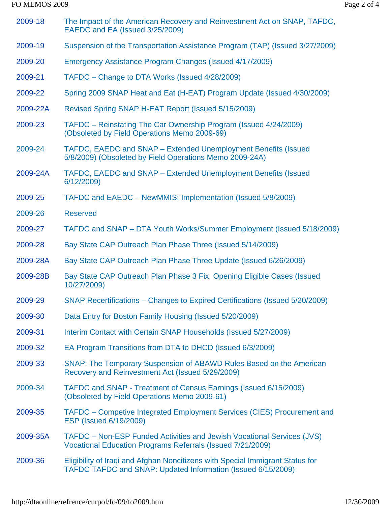### FO MEMOS 2009 Page 2 of 4

| 2009-18  | The Impact of the American Recovery and Reinvestment Act on SNAP, TAFDC,<br>EAEDC and EA (Issued 3/25/2009)                                   |
|----------|-----------------------------------------------------------------------------------------------------------------------------------------------|
| 2009-19  | Suspension of the Transportation Assistance Program (TAP) (Issued 3/27/2009)                                                                  |
| 2009-20  | Emergency Assistance Program Changes (Issued 4/17/2009)                                                                                       |
| 2009-21  | TAFDC – Change to DTA Works (Issued 4/28/2009)                                                                                                |
| 2009-22  | Spring 2009 SNAP Heat and Eat (H-EAT) Program Update (Issued 4/30/2009)                                                                       |
| 2009-22A | Revised Spring SNAP H-EAT Report (Issued 5/15/2009)                                                                                           |
| 2009-23  | TAFDC – Reinstating The Car Ownership Program (Issued 4/24/2009)<br>(Obsoleted by Field Operations Memo 2009-69)                              |
| 2009-24  | TAFDC, EAEDC and SNAP - Extended Unemployment Benefits (Issued<br>5/8/2009) (Obsoleted by Field Operations Memo 2009-24A)                     |
| 2009-24A | TAFDC, EAEDC and SNAP - Extended Unemployment Benefits (Issued<br>6/12/2009)                                                                  |
| 2009-25  | TAFDC and EAEDC - NewMMIS: Implementation (Issued 5/8/2009)                                                                                   |
| 2009-26  | <b>Reserved</b>                                                                                                                               |
| 2009-27  | TAFDC and SNAP – DTA Youth Works/Summer Employment (Issued 5/18/2009)                                                                         |
| 2009-28  | Bay State CAP Outreach Plan Phase Three (Issued 5/14/2009)                                                                                    |
| 2009-28A | Bay State CAP Outreach Plan Phase Three Update (Issued 6/26/2009)                                                                             |
| 2009-28B | Bay State CAP Outreach Plan Phase 3 Fix: Opening Eligible Cases (Issued<br>10/27/2009)                                                        |
| 2009-29  | SNAP Recertifications – Changes to Expired Certifications (Issued 5/20/2009)                                                                  |
| 2009-30  | Data Entry for Boston Family Housing (Issued 5/20/2009)                                                                                       |
| 2009-31  | Interim Contact with Certain SNAP Households (Issued 5/27/2009)                                                                               |
| 2009-32  | EA Program Transitions from DTA to DHCD (Issued 6/3/2009)                                                                                     |
| 2009-33  | SNAP: The Temporary Suspension of ABAWD Rules Based on the American<br>Recovery and Reinvestment Act (Issued 5/29/2009)                       |
| 2009-34  | TAFDC and SNAP - Treatment of Census Earnings (Issued 6/15/2009)<br>(Obsoleted by Field Operations Memo 2009-61)                              |
| 2009-35  | TAFDC – Competive Integrated Employment Services (CIES) Procurement and<br><b>ESP (Issued 6/19/2009)</b>                                      |
| 2009-35A | TAFDC – Non-ESP Funded Activities and Jewish Vocational Services (JVS)<br><b>Vocational Education Programs Referrals (Issued 7/21/2009)</b>   |
| 2009-36  | Eligibility of Iraqi and Afghan Noncitizens with Special Immigrant Status for<br>TAFDC TAFDC and SNAP: Updated Information (Issued 6/15/2009) |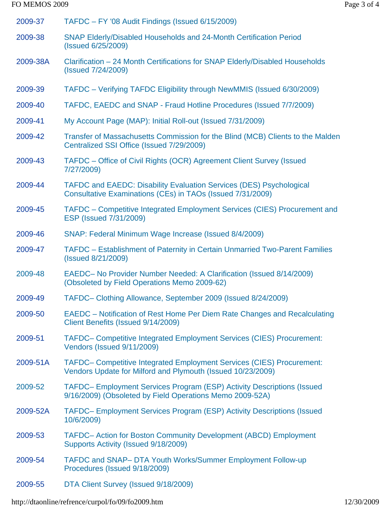### FO MEMOS 2009 Page 3 of 4

| 2009-37  | TAFDC - FY '08 Audit Findings (Issued 6/15/2009)                                                                                            |
|----------|---------------------------------------------------------------------------------------------------------------------------------------------|
| 2009-38  | SNAP Elderly/Disabled Households and 24-Month Certification Period<br>(Issued 6/25/2009)                                                    |
| 2009-38A | Clarification - 24 Month Certifications for SNAP Elderly/Disabled Households<br>(Issued 7/24/2009)                                          |
| 2009-39  | TAFDC - Verifying TAFDC Eligibility through NewMMIS (Issued 6/30/2009)                                                                      |
| 2009-40  | TAFDC, EAEDC and SNAP - Fraud Hotline Procedures (Issued 7/7/2009)                                                                          |
| 2009-41  | My Account Page (MAP): Initial Roll-out (Issued 7/31/2009)                                                                                  |
| 2009-42  | Transfer of Massachusetts Commission for the Blind (MCB) Clients to the Malden<br>Centralized SSI Office (Issued 7/29/2009)                 |
| 2009-43  | TAFDC – Office of Civil Rights (OCR) Agreement Client Survey (Issued<br>7/27/2009)                                                          |
| 2009-44  | <b>TAFDC and EAEDC: Disability Evaluation Services (DES) Psychological</b><br>Consultative Examinations (CEs) in TAOs (Issued 7/31/2009)    |
| 2009-45  | TAFDC – Competitive Integrated Employment Services (CIES) Procurement and<br>ESP (Issued 7/31/2009)                                         |
| 2009-46  | SNAP: Federal Minimum Wage Increase (Issued 8/4/2009)                                                                                       |
| 2009-47  | TAFDC - Establishment of Paternity in Certain Unmarried Two-Parent Families<br>(Issued 8/21/2009)                                           |
| 2009-48  | EAEDC- No Provider Number Needed: A Clarification (Issued 8/14/2009)<br>(Obsoleted by Field Operations Memo 2009-62)                        |
| 2009-49  | TAFDC- Clothing Allowance, September 2009 (Issued 8/24/2009)                                                                                |
| 2009-50  | EAEDC – Notification of Rest Home Per Diem Rate Changes and Recalculating<br>Client Benefits (Issued 9/14/2009)                             |
| 2009-51  | <b>TAFDC- Competitive Integrated Employment Services (CIES) Procurement:</b><br>Vendors (Issued 9/11/2009)                                  |
| 2009-51A | <b>TAFDC- Competitive Integrated Employment Services (CIES) Procurement:</b><br>Vendors Update for Milford and Plymouth (Issued 10/23/2009) |
| 2009-52  | TAFDC- Employment Services Program (ESP) Activity Descriptions (Issued<br>9/16/2009) (Obsoleted by Field Operations Memo 2009-52A)          |
| 2009-52A | TAFDC- Employment Services Program (ESP) Activity Descriptions (Issued<br>10/6/2009)                                                        |
| 2009-53  | TAFDC- Action for Boston Community Development (ABCD) Employment<br>Supports Activity (Issued 9/18/2009)                                    |
| 2009-54  | TAFDC and SNAP-DTA Youth Works/Summer Employment Follow-up<br>Procedures (Issued 9/18/2009)                                                 |
| 2009-55  | DTA Client Survey (Issued 9/18/2009)                                                                                                        |